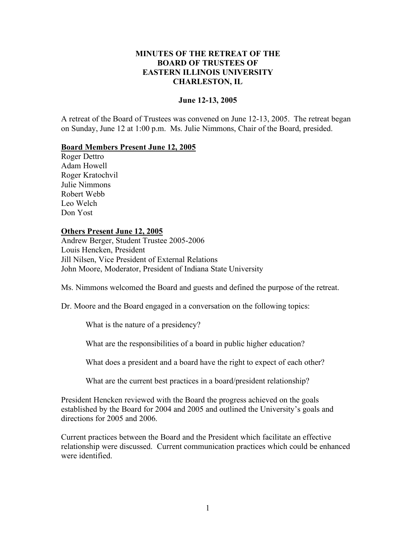## **MINUTES OF THE RETREAT OF THE BOARD OF TRUSTEES OF EASTERN ILLINOIS UNIVERSITY CHARLESTON, IL**

### **June 12-13, 2005**

A retreat of the Board of Trustees was convened on June 12-13, 2005. The retreat began on Sunday, June 12 at 1:00 p.m. Ms. Julie Nimmons, Chair of the Board, presided.

### **Board Members Present June 12, 2005**

Roger Dettro Adam Howell Roger Kratochvil Julie Nimmons Robert Webb Leo Welch Don Yost

### **Others Present June 12, 2005**

Andrew Berger, Student Trustee 2005-2006 Louis Hencken, President Jill Nilsen, Vice President of External Relations John Moore, Moderator, President of Indiana State University

Ms. Nimmons welcomed the Board and guests and defined the purpose of the retreat.

Dr. Moore and the Board engaged in a conversation on the following topics:

What is the nature of a presidency?

What are the responsibilities of a board in public higher education?

What does a president and a board have the right to expect of each other?

What are the current best practices in a board/president relationship?

President Hencken reviewed with the Board the progress achieved on the goals established by the Board for 2004 and 2005 and outlined the University's goals and directions for 2005 and 2006.

Current practices between the Board and the President which facilitate an effective relationship were discussed. Current communication practices which could be enhanced were identified.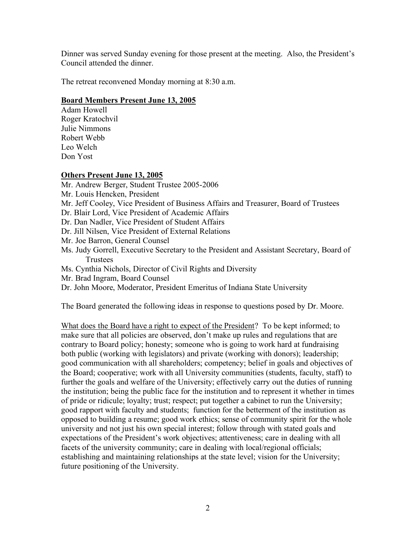Dinner was served Sunday evening for those present at the meeting. Also, the President's Council attended the dinner.

The retreat reconvened Monday morning at 8:30 a.m.

## **Board Members Present June 13, 2005**

Adam Howell Roger Kratochvil Julie Nimmons Robert Webb Leo Welch Don Yost

# **Others Present June 13, 2005**

Mr. Andrew Berger, Student Trustee 2005-2006

- Mr. Louis Hencken, President
- Mr. Jeff Cooley, Vice President of Business Affairs and Treasurer, Board of Trustees
- Dr. Blair Lord, Vice President of Academic Affairs
- Dr. Dan Nadler, Vice President of Student Affairs
- Dr. Jill Nilsen, Vice President of External Relations
- Mr. Joe Barron, General Counsel
- Ms. Judy Gorrell, Executive Secretary to the President and Assistant Secretary, Board of Trustees
- Ms. Cynthia Nichols, Director of Civil Rights and Diversity
- Mr. Brad Ingram, Board Counsel

Dr. John Moore, Moderator, President Emeritus of Indiana State University

The Board generated the following ideas in response to questions posed by Dr. Moore.

What does the Board have a right to expect of the President? To be kept informed; to make sure that all policies are observed, don't make up rules and regulations that are contrary to Board policy; honesty; someone who is going to work hard at fundraising both public (working with legislators) and private (working with donors); leadership; good communication with all shareholders; competency; belief in goals and objectives of the Board; cooperative; work with all University communities (students, faculty, staff) to further the goals and welfare of the University; effectively carry out the duties of running the institution; being the public face for the institution and to represent it whether in times of pride or ridicule; loyalty; trust; respect; put together a cabinet to run the University; good rapport with faculty and students; function for the betterment of the institution as opposed to building a resume; good work ethics; sense of community spirit for the whole university and not just his own special interest; follow through with stated goals and expectations of the President's work objectives; attentiveness; care in dealing with all facets of the university community; care in dealing with local/regional officials; establishing and maintaining relationships at the state level; vision for the University; future positioning of the University.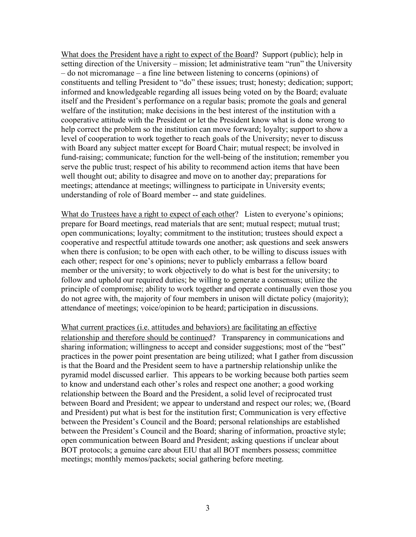What does the President have a right to expect of the Board? Support (public); help in setting direction of the University – mission; let administrative team "run" the University – do not micromanage – a fine line between listening to concerns (opinions) of constituents and telling President to "do" these issues; trust; honesty; dedication; support; informed and knowledgeable regarding all issues being voted on by the Board; evaluate itself and the President's performance on a regular basis; promote the goals and general welfare of the institution; make decisions in the best interest of the institution with a cooperative attitude with the President or let the President know what is done wrong to help correct the problem so the institution can move forward; loyalty; support to show a level of cooperation to work together to reach goals of the University; never to discuss with Board any subject matter except for Board Chair; mutual respect; be involved in fund-raising; communicate; function for the well-being of the institution; remember you serve the public trust; respect of his ability to recommend action items that have been well thought out; ability to disagree and move on to another day; preparations for meetings; attendance at meetings; willingness to participate in University events; understanding of role of Board member -- and state guidelines.

What do Trustees have a right to expect of each other? Listen to everyone's opinions; prepare for Board meetings, read materials that are sent; mutual respect; mutual trust; open communications; loyalty; commitment to the institution; trustees should expect a cooperative and respectful attitude towards one another; ask questions and seek answers when there is confusion; to be open with each other, to be willing to discuss issues with each other; respect for one's opinions; never to publicly embarrass a fellow board member or the university; to work objectively to do what is best for the university; to follow and uphold our required duties; be willing to generate a consensus; utilize the principle of compromise; ability to work together and operate continually even those you do not agree with, the majority of four members in unison will dictate policy (majority); attendance of meetings; voice/opinion to be heard; participation in discussions.

What current practices (i.e. attitudes and behaviors) are facilitating an effective relationship and therefore should be continued? Transparency in communications and sharing information; willingness to accept and consider suggestions; most of the "best" practices in the power point presentation are being utilized; what I gather from discussion is that the Board and the President seem to have a partnership relationship unlike the pyramid model discussed earlier. This appears to be working because both parties seem to know and understand each other's roles and respect one another; a good working relationship between the Board and the President, a solid level of reciprocated trust between Board and President; we appear to understand and respect our roles; we, (Board and President) put what is best for the institution first; Communication is very effective between the President's Council and the Board; personal relationships are established between the President's Council and the Board; sharing of information, proactive style; open communication between Board and President; asking questions if unclear about BOT protocols; a genuine care about EIU that all BOT members possess; committee meetings; monthly memos/packets; social gathering before meeting.